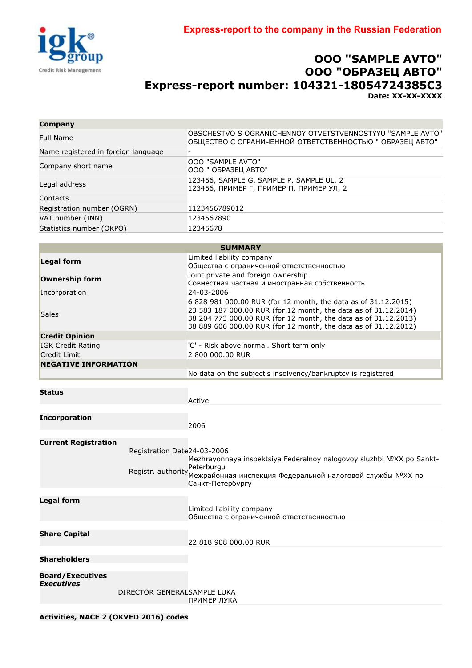

## **OOO "SAMPLE АVTO" ООО "ОБРАЗЕЦ АВТО" Express-report number: 104321-18054724385C3 Date: XX-XX-XXXX**

| Company                             |                                                                                                                        |  |  |
|-------------------------------------|------------------------------------------------------------------------------------------------------------------------|--|--|
| Full Name                           | OBSCHESTVO S OGRANICHENNOY OTVETSTVENNOSTYYU "SAMPLE AVTO"<br>ОБЩЕСТВО С ОГРАНИЧЕННОЙ ОТВЕТСТВЕННОСТЬЮ " ОБРАЗЕЦ АВТО" |  |  |
| Name registered in foreign language |                                                                                                                        |  |  |
| Company short name                  | <b>OOO "SAMPLE AVTO"</b><br>ООО " ОБРАЗЕЦ АВТО"                                                                        |  |  |
| Legal address                       | 123456, SAMPLE G, SAMPLE P, SAMPLE UL, 2<br>123456, ПРИМЕР Г, ПРИМЕР П, ПРИМЕР УЛ, 2                                   |  |  |
| Contacts                            |                                                                                                                        |  |  |
| Registration number (OGRN)          | 1123456789012                                                                                                          |  |  |
| VAT number (INN)                    | 1234567890                                                                                                             |  |  |
| Statistics number (OKPO)            | 12345678                                                                                                               |  |  |
|                                     |                                                                                                                        |  |  |

|                                                                             | <b>SUMMARY</b>                                                                                                                                                                                                                                                          |
|-----------------------------------------------------------------------------|-------------------------------------------------------------------------------------------------------------------------------------------------------------------------------------------------------------------------------------------------------------------------|
| <b>Legal form</b><br>Ownership form<br>Incorporation                        | Limited liability company<br>Общества с ограниченной ответственностью<br>Joint private and foreign ownership<br>Совместная частная и иностранная собственность<br>24-03-2006                                                                                            |
| <b>Sales</b>                                                                | 6 828 981 000.00 RUR (for 12 month, the data as of 31.12.2015)<br>23 583 187 000.00 RUR (for 12 month, the data as of 31.12.2014)<br>38 204 773 000.00 RUR (for 12 month, the data as of 31.12.2013)<br>38 889 606 000.00 RUR (for 12 month, the data as of 31.12.2012) |
| <b>Credit Opinion</b>                                                       |                                                                                                                                                                                                                                                                         |
| IGK Credit Rating<br><b>Credit Limit</b>                                    | 'C' - Risk above normal. Short term only<br>2 800 000.00 RUR                                                                                                                                                                                                            |
| <b>NEGATIVE INFORMATION</b>                                                 |                                                                                                                                                                                                                                                                         |
|                                                                             | No data on the subject's insolvency/bankruptcy is registered                                                                                                                                                                                                            |
| <b>Status</b>                                                               | Active                                                                                                                                                                                                                                                                  |
| <b>Incorporation</b>                                                        | 2006                                                                                                                                                                                                                                                                    |
| <b>Current Registration</b><br>Registration Date24-03-2006                  | Mezhrayonnaya inspektsiya Federalnoy nalogovoy sluzhbi NºXX po Sankt-<br>Peterburgu<br>Registr. authority Mexpaйoнная инспекция Федеральной налоговой службы NºXX по<br>Санкт-Петербургу                                                                                |
| <b>Legal form</b>                                                           | Limited liability company<br>Общества с ограниченной ответственностью                                                                                                                                                                                                   |
| <b>Share Capital</b>                                                        | 22 818 908 000.00 RUR                                                                                                                                                                                                                                                   |
| <b>Shareholders</b>                                                         |                                                                                                                                                                                                                                                                         |
| <b>Board/Executives</b><br><b>Executives</b><br>DIRECTOR GENERALSAMPLE LUKA | ПРИМЕР ЛУКА                                                                                                                                                                                                                                                             |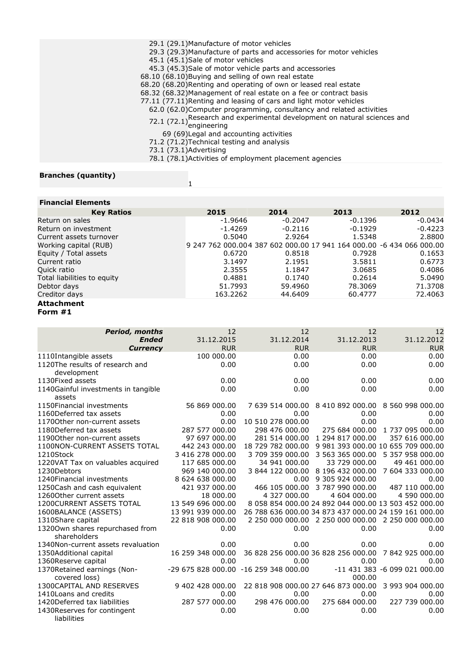| 29.1 (29.1) Manufacture of motor vehicles                                                                              |
|------------------------------------------------------------------------------------------------------------------------|
| 29.3 (29.3) Manufacture of parts and accessories for motor vehicles                                                    |
| 45.1 (45.1) Sale of motor vehicles                                                                                     |
| 45.3 (45.3)Sale of motor vehicle parts and accessories                                                                 |
| 68.10 (68.10) Buying and selling of own real estate                                                                    |
| 68.20 (68.20) Renting and operating of own or leased real estate                                                       |
| 68.32 (68.32) Management of real estate on a fee or contract basis                                                     |
| 77.11 (77.11) Renting and leasing of cars and light motor vehicles                                                     |
| 62.0 (62.0) Computer programming, consultancy and related activities                                                   |
| 72.1 $(72.1)$ <sup>Research</sup> and experimental development on natural sciences and $(72.1)$ <sub>engineering</sub> |
|                                                                                                                        |
| 69 (69) Legal and accounting activities                                                                                |
| 71.2 (71.2) Technical testing and analysis                                                                             |
| 73.1 (73.1) Advertising                                                                                                |
| 78.1 (78.1) Activities of employment placement agencies                                                                |
|                                                                                                                        |

1

## **Branches (quantity)**

| <b>Financial Elements</b>   |                                                                      |           |           |           |
|-----------------------------|----------------------------------------------------------------------|-----------|-----------|-----------|
| <b>Key Ratios</b>           | 2015                                                                 | 2014      | 2013      | 2012      |
| Return on sales             | $-1.9646$                                                            | $-0.2047$ | $-0.1396$ | $-0.0434$ |
| Return on investment        | $-1.4269$                                                            | $-0.2116$ | $-0.1929$ | $-0.4223$ |
| Current assets turnover     | 0.5040                                                               | 2.9264    | 1.5348    | 2.8800    |
| Working capital (RUB)       | 9 247 762 000.004 387 602 000.00 17 941 164 000.00 -6 434 066 000.00 |           |           |           |
| Equity / Total assets       | 0.6720                                                               | 0.8518    | 0.7928    | 0.1653    |
| Current ratio               | 3.1497                                                               | 2.1951    | 3.5811    | 0.6773    |
| Quick ratio                 | 2.3555                                                               | 1.1847    | 3.0685    | 0.4086    |
| Total liabilities to equity | 0.4881                                                               | 0.1740    | 0.2614    | 5.0490    |
| Debtor days                 | 51.7993                                                              | 59.4960   | 78.3069   | 71,3708   |
| Creditor days               | 163.2262                                                             | 44.6409   | 60.4777   | 72,4063   |
| <b>Attachment</b>           |                                                                      |           |           |           |
| Form #1                     |                                                                      |           |           |           |
|                             |                                                                      |           |           |           |

| <b>Period, months</b>                           | 12                                    | 12                | 12                                                    | 12                                 |
|-------------------------------------------------|---------------------------------------|-------------------|-------------------------------------------------------|------------------------------------|
| <b>Ended</b>                                    | 31.12.2015                            | 31.12.2014        | 31.12.2013                                            | 31.12.2012                         |
| <b>Currency</b>                                 | <b>RUR</b>                            | <b>RUR</b>        | <b>RUR</b>                                            | <b>RUR</b>                         |
| 1110Intangible assets                           | 100 000.00                            | 0.00              | 0.00                                                  | 0.00                               |
| 1120The results of research and<br>development  | 0.00                                  | 0.00              | 0.00                                                  | 0.00                               |
| 1130Fixed assets                                | 0.00                                  | 0.00              | 0.00                                                  | 0.00                               |
| 1140Gainful investments in tangible<br>assets   | 0.00                                  | 0.00              | 0.00                                                  | 0.00                               |
| 1150 Financial investments                      | 56 869 000.00                         | 7 639 514 000.00  |                                                       | 8 410 892 000.00 8 560 998 000.00  |
| 1160Deferred tax assets                         | 0.00                                  | 0.00              | 0.00                                                  | 0.00                               |
| 11700ther non-current assets                    | 0.00                                  | 10 510 278 000.00 | 0.00                                                  | 0.00                               |
| 1180Deferred tax assets                         | 287 577 000.00                        | 298 476 000.00    | 275 684 000.00                                        | 1 737 095 000.00                   |
| 11900ther non-current assets                    | 97 697 000.00                         | 281 514 000.00    | 1 294 817 000.00                                      | 357 616 000.00                     |
| 1100NON-CURRENT ASSETS TOTAL                    | 442 243 000.00                        | 18 729 782 000.00 |                                                       | 9 981 393 000.00 10 655 709 000.00 |
| 1210Stock                                       | 3 416 278 000.00                      | 3 709 359 000.00  |                                                       | 3 563 365 000.00 5 357 958 000.00  |
| 1220VAT Tax on valuables acquired               | 117 685 000.00                        | 34 941 000.00     | 33 729 000.00                                         | 49 461 000.00                      |
| 1230Debtors                                     | 969 140 000.00                        | 3 844 122 000.00  | 8 196 432 000.00                                      | 7 604 333 000.00                   |
| 1240Financial investments                       | 8 624 638 000.00                      | 0.00              | 9 305 924 000.00                                      | 0.00                               |
| 1250 Cash and cash equivalent                   | 421 937 000.00                        | 466 105 000.00    | 3 787 990 000.00                                      | 487 110 000.00                     |
| 12600ther current assets                        | 18 000.00                             | 4 327 000.00      | 4 604 000.00                                          | 4 590 000.00                       |
| <b>1200CURRENT ASSETS TOTAL</b>                 | 13 549 696 000.00                     |                   | 8 058 854 000.00 24 892 044 000.00 13 503 452 000.00  |                                    |
| 1600BALANCE (ASSETS)                            | 13 991 939 000.00                     |                   | 26 788 636 000.00 34 873 437 000.00 24 159 161 000.00 |                                    |
| 1310Share capital                               | 22 818 908 000.00                     |                   | 2 250 000 000.00 2 250 000 000.00 2 250 000 000.00    |                                    |
| 13200wn shares repurchased from<br>shareholders | 0.00                                  | 0.00              | 0.00                                                  | 0.00                               |
| 1340Non-current assets revaluation              | 0.00                                  | 0.00              | 0.00                                                  | 0.00                               |
| 1350Additional capital                          | 16 259 348 000.00                     |                   | 36 828 256 000.00 36 828 256 000.00 7 842 925 000.00  |                                    |
| 1360Reserve capital                             | 0.00                                  | 0.00              | 0.00                                                  | 0.00                               |
| 1370Retained earnings (Non-<br>covered loss)    | -29 675 828 000.00 -16 259 348 000.00 |                   | 000.00                                                | -11 431 383 -6 099 021 000.00      |
| 1300CAPITAL AND RESERVES                        | 9 402 428 000,00                      |                   | 22 818 908 000.00 27 646 873 000.00                   | 3 993 904 000.00                   |
| 1410Loans and credits                           | 0.00                                  | 0.00              | 0.00                                                  | 0.00                               |
| 1420 Deferred tax liabilities                   | 287 577 000.00                        | 298 476 000.00    | 275 684 000.00                                        | 227 739 000.00                     |
| 1430Reserves for contingent<br>liabilities      | 0.00                                  | 0.00              | 0.00                                                  | 0.00                               |